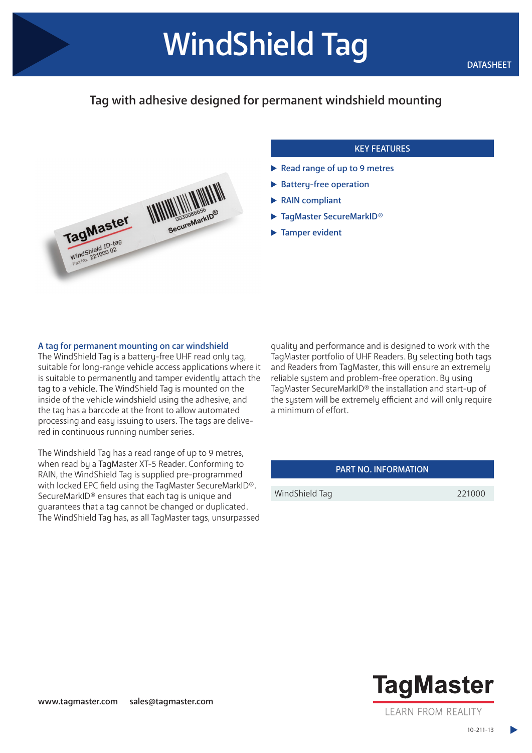## Tag with adhesive designed for permanent windshield mounting



## KEY FEATURES

- Read range of up to 9 metres
- Battery-free operation
- ▶ RAIN compliant
- ▶ TagMaster SecureMarkID®
- **Tamper evident**

## A tag for permanent mounting on car windshield

The WindShield Tag is a battery-free UHF read only tag, suitable for long-range vehicle access applications where it is suitable to permanently and tamper evidently attach the tag to a vehicle. The WindShield Tag is mounted on the inside of the vehicle windshield using the adhesive, and the tag has a barcode at the front to allow automated processing and easy issuing to users. The tags are delivered in continuous running number series.

The Windshield Tag has a read range of up to 9 metres, when read by a TagMaster XT-5 Reader. Conforming to RAIN, the WindShield Tag is supplied pre-programmed with locked EPC field using the TagMaster SecureMarkID®. SecureMarkID® ensures that each tag is unique and guarantees that a tag cannot be changed or duplicated. The WindShield Tag has, as all TagMaster tags, unsurpassed

quality and performance and is designed to work with the TagMaster portfolio of UHF Readers. By selecting both tags and Readers from TagMaster, this will ensure an extremely reliable sustem and problem-free operation. By using TagMaster SecureMarkID® the installation and start-up of the system will be extremely efficient and will only require a minimum of effort.